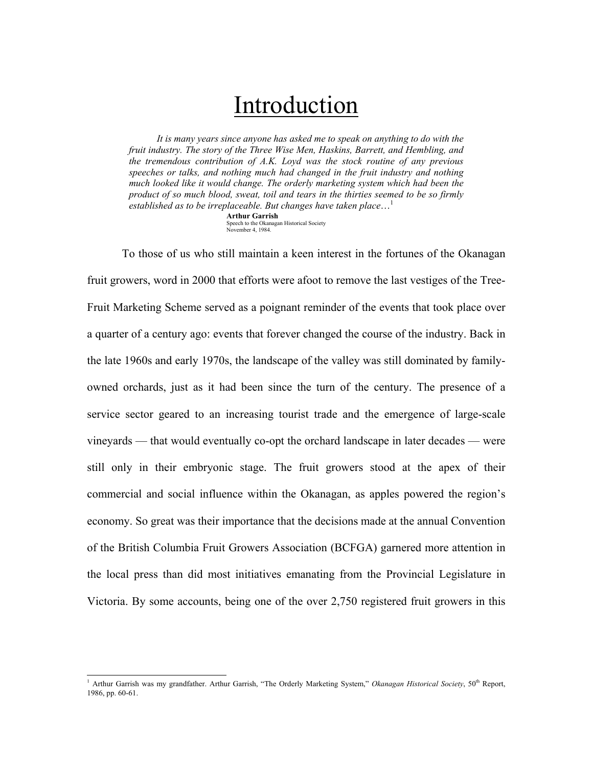## Introduction

*It is many years since anyone has asked me to speak on anything to do with the fruit industry. The story of the Three Wise Men, Haskins, Barrett, and Hembling, and the tremendous contribution of A.K. Loyd was the stock routine of any previous speeches or talks, and nothing much had changed in the fruit industry and nothing much looked like it would change. The orderly marketing system which had been the product of so much blood, sweat, toil and tears in the thirties seemed to be so firmly established as to be irreplaceable. But changes have taken place*…[1](#page-0-0) **Arthur Garrish** 

Speech to the Okanagan Historical Society November 4, 1984.

 To those of us who still maintain a keen interest in the fortunes of the Okanagan fruit growers, word in 2000 that efforts were afoot to remove the last vestiges of the Tree-Fruit Marketing Scheme served as a poignant reminder of the events that took place over a quarter of a century ago: events that forever changed the course of the industry. Back in the late 1960s and early 1970s, the landscape of the valley was still dominated by familyowned orchards, just as it had been since the turn of the century. The presence of a service sector geared to an increasing tourist trade and the emergence of large-scale vineyards — that would eventually co-opt the orchard landscape in later decades — were still only in their embryonic stage. The fruit growers stood at the apex of their commercial and social influence within the Okanagan, as apples powered the region's economy. So great was their importance that the decisions made at the annual Convention of the British Columbia Fruit Growers Association (BCFGA) garnered more attention in the local press than did most initiatives emanating from the Provincial Legislature in Victoria. By some accounts, being one of the over 2,750 registered fruit growers in this

<span id="page-0-0"></span> $\overline{a}$ <sup>1</sup> Arthur Garrish was my grandfather. Arthur Garrish, "The Orderly Marketing System," Okanagan Historical Society, 50<sup>th</sup> Report, 1986, pp. 60-61.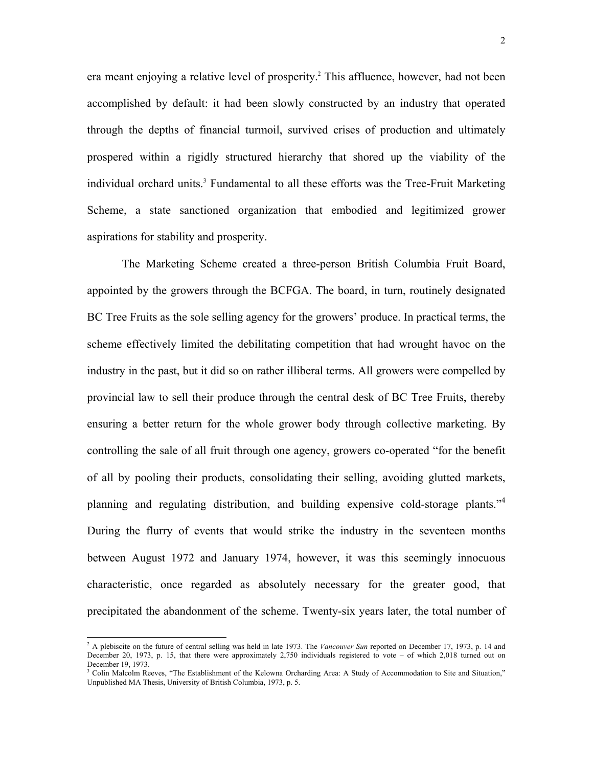era meant enjoying a relative level of prosperity.<sup>[2](#page-1-0)</sup> This affluence, however, had not been accomplished by default: it had been slowly constructed by an industry that operated through the depths of financial turmoil, survived crises of production and ultimately prospered within a rigidly structured hierarchy that shored up the viability of the individual orchard units.<sup>[3](#page-1-1)</sup> Fundamental to all these efforts was the Tree-Fruit Marketing Scheme, a state sanctioned organization that embodied and legitimized grower aspirations for stability and prosperity.

 The Marketing Scheme created a three-person British Columbia Fruit Board, appointed by the growers through the BCFGA. The board, in turn, routinely designated BC Tree Fruits as the sole selling agency for the growers' produce. In practical terms, the scheme effectively limited the debilitating competition that had wrought havoc on the industry in the past, but it did so on rather illiberal terms. All growers were compelled by provincial law to sell their produce through the central desk of BC Tree Fruits, thereby ensuring a better return for the whole grower body through collective marketing. By controlling the sale of all fruit through one agency, growers co-operated "for the benefit of all by pooling their products, consolidating their selling, avoiding glutted markets, planning and regulating distribution, and building expensive cold-storage plants."[4](#page-1-2) During the flurry of events that would strike the industry in the seventeen months between August 1972 and January 1974, however, it was this seemingly innocuous characteristic, once regarded as absolutely necessary for the greater good, that precipitated the abandonment of the scheme. Twenty-six years later, the total number of

<span id="page-1-2"></span><span id="page-1-0"></span><sup>&</sup>lt;sup>2</sup> A plebiscite on the future of central selling was held in late 1973. The *Vancouver Sun* reported on December 17, 1973, p. 14 and December 20, 1973, p. 15, that there were approximately 2,750 individuals registered to vote – of which 2,018 turned out on December 19, 1973.

<span id="page-1-1"></span><sup>&</sup>lt;sup>3</sup> Colin Malcolm Reeves, "The Establishment of the Kelowna Orcharding Area: A Study of Accommodation to Site and Situation," Unpublished MA Thesis, University of British Columbia, 1973, p. 5.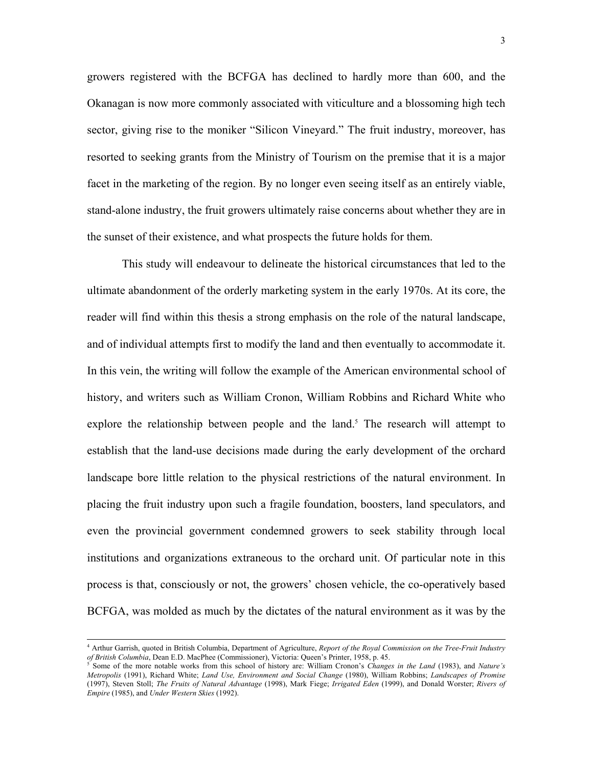growers registered with the BCFGA has declined to hardly more than 600, and the Okanagan is now more commonly associated with viticulture and a blossoming high tech sector, giving rise to the moniker "Silicon Vineyard." The fruit industry, moreover, has resorted to seeking grants from the Ministry of Tourism on the premise that it is a major facet in the marketing of the region. By no longer even seeing itself as an entirely viable, stand-alone industry, the fruit growers ultimately raise concerns about whether they are in the sunset of their existence, and what prospects the future holds for them.

 This study will endeavour to delineate the historical circumstances that led to the ultimate abandonment of the orderly marketing system in the early 1970s. At its core, the reader will find within this thesis a strong emphasis on the role of the natural landscape, and of individual attempts first to modify the land and then eventually to accommodate it. In this vein, the writing will follow the example of the American environmental school of history, and writers such as William Cronon, William Robbins and Richard White who explorethe relationship between people and the land.<sup>5</sup> The research will attempt to establish that the land-use decisions made during the early development of the orchard landscape bore little relation to the physical restrictions of the natural environment. In placing the fruit industry upon such a fragile foundation, boosters, land speculators, and even the provincial government condemned growers to seek stability through local institutions and organizations extraneous to the orchard unit. Of particular note in this process is that, consciously or not, the growers' chosen vehicle, the co-operatively based BCFGA, was molded as much by the dictates of the natural environment as it was by the

 $\overline{a}$ 

<sup>4</sup> Arthur Garrish, quoted in British Columbia, Department of Agriculture, *Report of the Royal Commission on the Tree-Fruit Industry of British Columbia*, Dean E.D. MacPhee (Commissioner), Victoria: Queen's Printer, 1958, p. 45.

<span id="page-2-0"></span>Some of the more notable works from this school of history are: William Cronon's *Changes in the Land* (1983), and *Nature's Metropolis* (1991), Richard White; *Land Use, Environment and Social Change* (1980), William Robbins; *Landscapes of Promise* (1997), Steven Stoll; *The Fruits of Natural Advantage* (1998), Mark Fiege; *Irrigated Eden* (1999), and Donald Worster; *Rivers of Empire* (1985), and *Under Western Skies* (1992).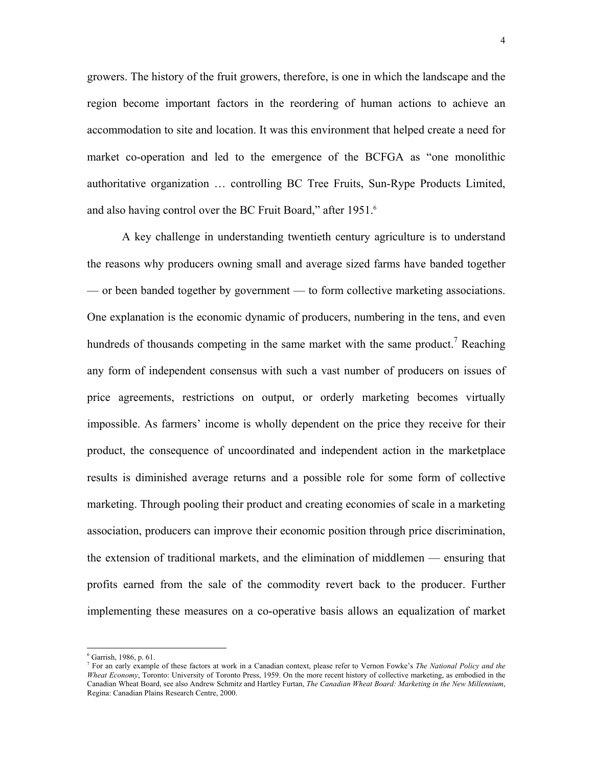growers. The history of the fruit growers, therefore, is one in which the landscape and the region become important factors in the reordering of human actions to achieve an accommodation to site and location. It was this environment that helped create a need for market co-operation and led to the emergence of the BCFGA as "one monolithic authoritative organization … controlling BC Tree Fruits, Sun-Rype Products Limited, and also having control over the BC Fruit Board," after 1951.<sup>[6](#page-3-0)</sup>

 A key challenge in understanding twentieth century agriculture is to understand the reasons why producers owning small and average sized farms have banded together — or been banded together by government — to form collective marketing associations. One explanation is the economic dynamic of producers, numbering in the tens, and even hundreds of thousands competing in the same market with the same product.<sup>[7](#page-3-1)</sup> Reaching any form of independent consensus with such a vast number of producers on issues of price agreements, restrictions on output, or orderly marketing becomes virtually impossible. As farmers' income is wholly dependent on the price they receive for their product, the consequence of uncoordinated and independent action in the marketplace results is diminished average returns and a possible role for some form of collective marketing. Through pooling their product and creating economies of scale in a marketing association, producers can improve their economic position through price discrimination, the extension of traditional markets, and the elimination of middlemen — ensuring that profits earned from the sale of the commodity revert back to the producer. Further implementing these measures on a co-operative basis allows an equalization of market

 $\overline{a}$ 

<span id="page-3-0"></span><sup>6</sup> Garrish, 1986, p. 61.

<span id="page-3-1"></span><sup>7</sup> For an early example of these factors at work in a Canadian context, please refer to Vernon Fowke's *The National Policy and the Wheat Economy*, Toronto: University of Toronto Press, 1959. On the more recent history of collective marketing, as embodied in the Canadian Wheat Board, see also Andrew Schmitz and Hartley Furtan, *The Canadian Wheat Board: Marketing in the New Millennium*, Regina: Canadian Plains Research Centre, 2000.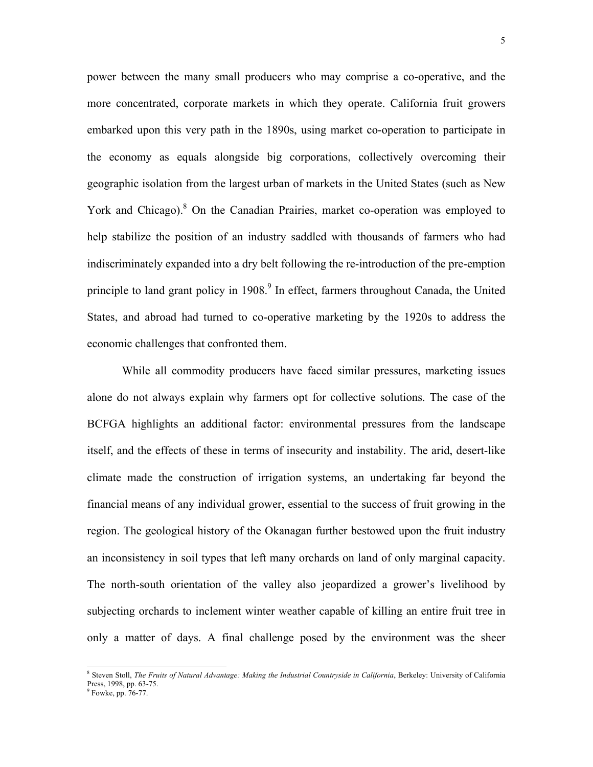power between the many small producers who may comprise a co-operative, and the more concentrated, corporate markets in which they operate. California fruit growers embarked upon this very path in the 1890s, using market co-operation to participate in the economy as equals alongside big corporations, collectively overcoming their geographic isolation from the largest urban of markets in the United States (such as New York and Chicago).<sup>8</sup> On the Canadian Prairies, market co-operation was employed to help stabilize the position of an industry saddled with thousands of farmers who had indiscriminately expanded into a dry belt following the re-introduction of the pre-emption principle to land grant policy in 1908.<sup>9</sup> In effect, farmers throughout Canada, the United States, and abroad had turned to co-operative marketing by the 1920s to address the economic challenges that confronted them.

While all commodity producers have faced similar pressures, marketing issues alone do not always explain why farmers opt for collective solutions. The case of the BCFGA highlights an additional factor: environmental pressures from the landscape itself, and the effects of these in terms of insecurity and instability. The arid, desert-like climate made the construction of irrigation systems, an undertaking far beyond the financial means of any individual grower, essential to the success of fruit growing in the region. The geological history of the Okanagan further bestowed upon the fruit industry an inconsistency in soil types that left many orchards on land of only marginal capacity. The north-south orientation of the valley also jeopardized a grower's livelihood by subjecting orchards to inclement winter weather capable of killing an entire fruit tree in only a matter of days. A final challenge posed by the environment was the sheer

 $\overline{a}$ 

<span id="page-4-0"></span><sup>&</sup>lt;sup>8</sup> Steven Stoll, *The Fruits of Natural Advantage: Making the Industrial Countryside in California*, Berkeley: University of California Press, 1998, pp. 63-75.

<span id="page-4-1"></span><sup>&</sup>lt;sup>9</sup> Fowke, pp. 76-77.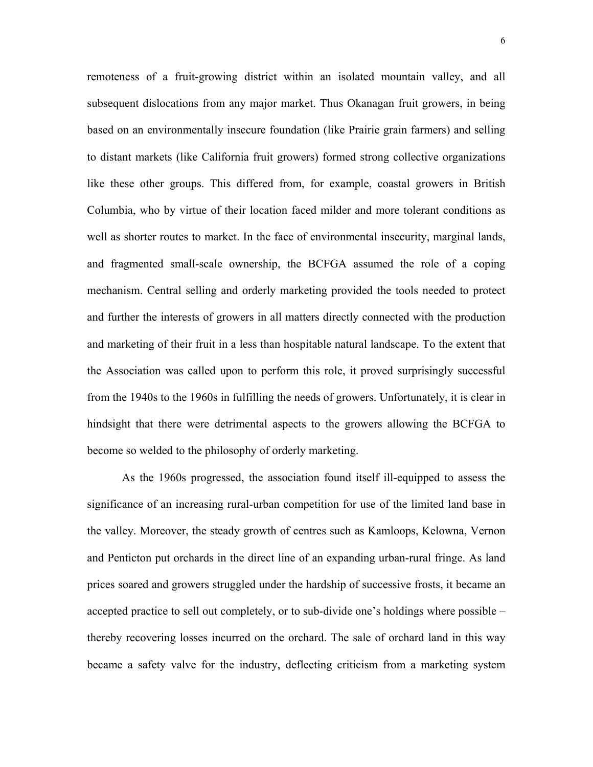remoteness of a fruit-growing district within an isolated mountain valley, and all subsequent dislocations from any major market. Thus Okanagan fruit growers, in being based on an environmentally insecure foundation (like Prairie grain farmers) and selling to distant markets (like California fruit growers) formed strong collective organizations like these other groups. This differed from, for example, coastal growers in British Columbia, who by virtue of their location faced milder and more tolerant conditions as well as shorter routes to market. In the face of environmental insecurity, marginal lands, and fragmented small-scale ownership, the BCFGA assumed the role of a coping mechanism. Central selling and orderly marketing provided the tools needed to protect and further the interests of growers in all matters directly connected with the production and marketing of their fruit in a less than hospitable natural landscape. To the extent that the Association was called upon to perform this role, it proved surprisingly successful from the 1940s to the 1960s in fulfilling the needs of growers. Unfortunately, it is clear in hindsight that there were detrimental aspects to the growers allowing the BCFGA to become so welded to the philosophy of orderly marketing.

 As the 1960s progressed, the association found itself ill-equipped to assess the significance of an increasing rural-urban competition for use of the limited land base in the valley. Moreover, the steady growth of centres such as Kamloops, Kelowna, Vernon and Penticton put orchards in the direct line of an expanding urban-rural fringe. As land prices soared and growers struggled under the hardship of successive frosts, it became an accepted practice to sell out completely, or to sub-divide one's holdings where possible – thereby recovering losses incurred on the orchard. The sale of orchard land in this way became a safety valve for the industry, deflecting criticism from a marketing system